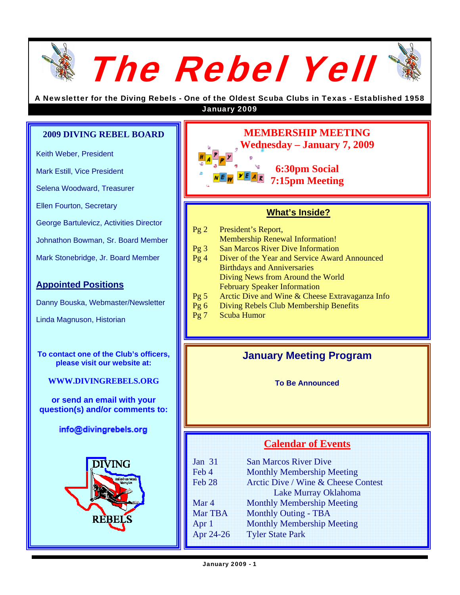

A Newsletter for the Diving Rebels - One of the Oldest Scuba Clubs in Texas - Established 1958 January 2009

#### **2009 DIVING REBEL BOARD**

Keith Weber, President

Mark Estill, Vice President

Selena Woodward, Treasurer

Ellen Fourton, Secretary

George Bartulevicz, Activities Director

Johnathon Bowman, Sr. Board Member

Mark Stonebridge, Jr. Board Member

#### **Appointed Positions**

Danny Bouska, Webmaster/Newsletter

Linda Magnuson, Historian

**To contact one of the Club's officers, please visit our website at:** 

**WWW.DIVINGREBELS.ORG**

**or send an email with your question(s) and/or comments to:** 

#### info@divingrebels.org





#### **What's Inside?**

- Pg 2 President's Report, Membership Renewal Information!
- Pg 3 San Marcos River Dive Information
- Pg 4 Diver of the Year and Service Award Announced Birthdays and Anniversaries Diving News from Around the World February Speaker Information
- Pg 5 Arctic Dive and Wine & Cheese Extravaganza Info
- Pg 6 Diving Rebels Club Membership Benefits
- Pg 7 Scuba Humor

### **January Meeting Program**

**To Be Announced** 

### **Calendar of Events**

| Jan $31$          | <b>San Marcos River Dive</b>        |  |
|-------------------|-------------------------------------|--|
| Feb 4             | <b>Monthly Membership Meeting</b>   |  |
| Feb <sub>28</sub> | Arctic Dive / Wine & Cheese Contest |  |
|                   | Lake Murray Oklahoma                |  |
| Mar 4             | <b>Monthly Membership Meeting</b>   |  |
| Mar TBA           | <b>Monthly Outing - TBA</b>         |  |
| Apr 1             | <b>Monthly Membership Meeting</b>   |  |
| Apr 24-26         | <b>Tyler State Park</b>             |  |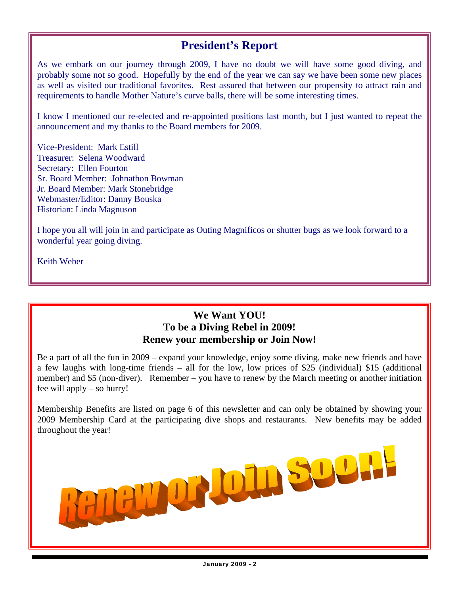## **President's Report**

As we embark on our journey through 2009, I have no doubt we will have some good diving, and probably some not so good. Hopefully by the end of the year we can say we have been some new places as well as visited our traditional favorites. Rest assured that between our propensity to attract rain and requirements to handle Mother Nature's curve balls, there will be some interesting times.

I know I mentioned our re-elected and re-appointed positions last month, but I just wanted to repeat the announcement and my thanks to the Board members for 2009.

Vice-President: Mark Estill Treasurer: Selena Woodward Secretary: Ellen Fourton Sr. Board Member: Johnathon Bowman Jr. Board Member: Mark Stonebridge Webmaster/Editor: Danny Bouska Historian: Linda Magnuson

I hope you all will join in and participate as Outing Magnificos or shutter bugs as we look forward to a wonderful year going diving.

Keith Weber

#### **We Want YOU! To be a Diving Rebel in 2009! Renew your membership or Join Now!**

Be a part of all the fun in 2009 – expand your knowledge, enjoy some diving, make new friends and have a few laughs with long-time friends – all for the low, low prices of \$25 (individual) \$15 (additional member) and \$5 (non-diver). Remember – you have to renew by the March meeting or another initiation fee will apply – so hurry!

Membership Benefits are listed on page 6 of this newsletter and can only be obtained by showing your 2009 Membership Card at the participating dive shops and restaurants. New benefits may be added throughout the year!

WORLOUG SOL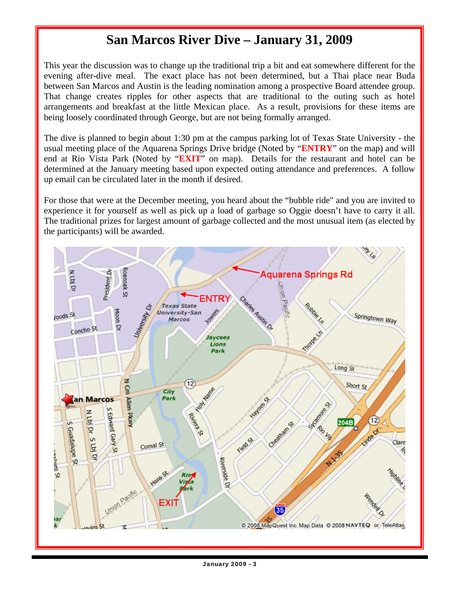# **San Marcos River Dive – January 31, 2009**

This year the discussion was to change up the traditional trip a bit and eat somewhere different for the evening after-dive meal. The exact place has not been determined, but a Thai place near Buda between San Marcos and Austin is the leading nomination among a prospective Board attendee group. That change creates ripples for other aspects that are traditional to the outing such as hotel arrangements and breakfast at the little Mexican place. As a result, provisions for these items are being loosely coordinated through George, but are not being formally arranged.

The dive is planned to begin about 1:30 pm at the campus parking lot of Texas State University - the usual meeting place of the Aquarena Springs Drive bridge (Noted by "**ENTRY**" on the map) and will end at Rio Vista Park (Noted by "**EXIT**" on map). Details for the restaurant and hotel can be determined at the January meeting based upon expected outing attendance and preferences. A follow up email can be circulated later in the month if desired.

For those that were at the December meeting, you heard about the "bubble ride" and you are invited to experience it for yourself as well as pick up a load of garbage so Oggie doesn't have to carry it all. The traditional prizes for largest amount of garbage collected and the most unusual item (as elected by the participants) will be awarded.

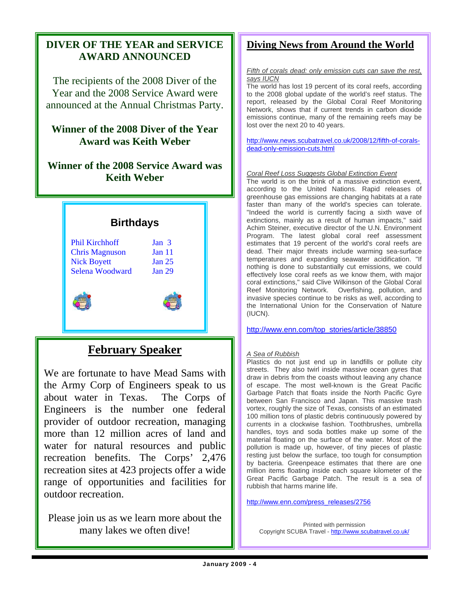### **DIVER OF THE YEAR and SERVICE AWARD ANNOUNCED**

The recipients of the 2008 Diver of the Year and the 2008 Service Award were announced at the Annual Christmas Party.

### **Winner of the 2008 Diver of the Year Award was Keith Weber**

### **Winner of the 2008 Service Award was Keith Weber**



## **February Speaker**

We are fortunate to have Mead Sams with the Army Corp of Engineers speak to us about water in Texas. The Corps of Engineers is the number one federal provider of outdoor recreation, managing more than 12 million acres of land and water for natural resources and public recreation benefits. The Corps' 2,476 recreation sites at 423 projects offer a wide range of opportunities and facilities for outdoor recreation.

Please join us as we learn more about the many lakes we often dive!

### **Diving News from Around the World**

*Fifth of corals dead: only emission cuts can save the rest, says IUCN*

The world has lost 19 percent of its coral reefs, according to the 2008 global update of the world's reef status. The report, released by the Global Coral Reef Monitoring Network, shows that if current trends in carbon dioxide emissions continue, many of the remaining reefs may be lost over the next 20 to 40 years.

http://www.news.scubatravel.co.uk/2008/12/fifth-of-coralsdead-only-emission-cuts.html

#### *Coral Reef Loss Suggests Global Extinction Event*

The world is on the brink of a massive extinction event, according to the United Nations. Rapid releases of greenhouse gas emissions are changing habitats at a rate faster than many of the world's species can tolerate. "Indeed the world is currently facing a sixth wave of extinctions, mainly as a result of human impacts," said Achim Steiner, executive director of the U.N. Environment Program. The latest global coral reef assessment estimates that 19 percent of the world's coral reefs are dead. Their major threats include warming sea-surface temperatures and expanding seawater acidification. "If nothing is done to substantially cut emissions, we could effectively lose coral reefs as we know them, with major coral extinctions," said Clive Wilkinson of the Global Coral Reef Monitoring Network. Overfishing, pollution, and invasive species continue to be risks as well, according to the International Union for the Conservation of Nature (IUCN).

http://www.enn.com/top\_stories/article/38850

#### *A Sea of Rubbish*

Plastics do not just end up in landfills or pollute city streets. They also twirl inside massive ocean gyres that draw in debris from the coasts without leaving any chance of escape. The most well-known is the Great Pacific Garbage Patch that floats inside the North Pacific Gyre between San Francisco and Japan. This massive trash vortex, roughly the size of Texas, consists of an estimated 100 million tons of plastic debris continuously powered by currents in a clockwise fashion. Toothbrushes, umbrella handles, toys and soda bottles make up some of the material floating on the surface of the water. Most of the pollution is made up, however, of tiny pieces of plastic resting just below the surface, too tough for consumption by bacteria. Greenpeace estimates that there are one million items floating inside each square kilometer of the Great Pacific Garbage Patch. The result is a sea of rubbish that harms marine life.

http://www.enn.com/press\_releases/2756

Printed with permission Copyright SCUBA Travel - http://www.scubatravel.co.uk/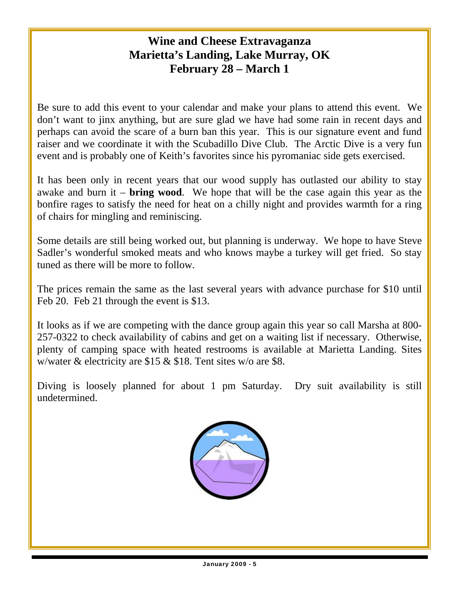## **Wine and Cheese Extravaganza Marietta's Landing, Lake Murray, OK February 28 – March 1**

Be sure to add this event to your calendar and make your plans to attend this event. We don't want to jinx anything, but are sure glad we have had some rain in recent days and perhaps can avoid the scare of a burn ban this year. This is our signature event and fund raiser and we coordinate it with the Scubadillo Dive Club. The Arctic Dive is a very fun event and is probably one of Keith's favorites since his pyromaniac side gets exercised.

It has been only in recent years that our wood supply has outlasted our ability to stay awake and burn it – **bring wood**. We hope that will be the case again this year as the bonfire rages to satisfy the need for heat on a chilly night and provides warmth for a ring of chairs for mingling and reminiscing.

Some details are still being worked out, but planning is underway. We hope to have Steve Sadler's wonderful smoked meats and who knows maybe a turkey will get fried. So stay tuned as there will be more to follow.

The prices remain the same as the last several years with advance purchase for \$10 until Feb 20. Feb 21 through the event is \$13.

It looks as if we are competing with the dance group again this year so call Marsha at 800- 257-0322 to check availability of cabins and get on a waiting list if necessary. Otherwise, plenty of camping space with heated restrooms is available at Marietta Landing. Sites w/water & electricity are \$15 & \$18. Tent sites w/o are \$8.

Diving is loosely planned for about 1 pm Saturday. Dry suit availability is still undetermined.

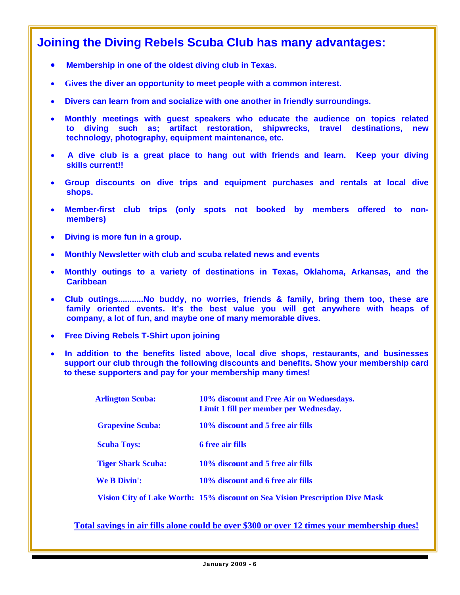## **Joining the Diving Rebels Scuba Club has many advantages:**

- **Membership in one of the oldest diving club in Texas.**
- **Gives the diver an opportunity to meet people with a common interest.**
- **Divers can learn from and socialize with one another in friendly surroundings.**
- **Monthly meetings with guest speakers who educate the audience on topics related to diving such as; artifact restoration, shipwrecks, travel destinations, new technology, photography, equipment maintenance, etc.**
- **A dive club is a great place to hang out with friends and learn. Keep your diving skills current!!**
- **Group discounts on dive trips and equipment purchases and rentals at local dive shops.**
- **Member-first club trips (only spots not booked by members offered to non members)**
- **Diving is more fun in a group.**
- **Monthly Newsletter with club and scuba related news and events**
- **Monthly outings to a variety of destinations in Texas, Oklahoma, Arkansas, and the Caribbean**
- **Club outings...........No buddy, no worries, friends & family, bring them too, these are family oriented events. It's the best value you will get anywhere with heaps of company, a lot of fun, and maybe one of many memorable dives.**
- **Free Diving Rebels T-Shirt upon joining**
- **In addition to the benefits listed above, local dive shops, restaurants, and businesses support our club through the following discounts and benefits. Show your membership card to these supporters and pay for your membership many times!**

| <b>Arlington Scuba:</b>   | 10% discount and Free Air on Wednesdays.<br>Limit 1 fill per member per Wednesday. |
|---------------------------|------------------------------------------------------------------------------------|
| <b>Grapevine Scuba:</b>   | 10\% discount and 5 free air fills                                                 |
| <b>Scuba Toys:</b>        | <b>6</b> free air fills                                                            |
| <b>Tiger Shark Scuba:</b> | 10\% discount and 5 free air fills                                                 |
| <b>We B Divin':</b>       | 10% discount and 6 free air fills                                                  |
|                           | Vision City of Lake Worth: 15% discount on Sea Vision Prescription Dive Mask       |

**Total savings in air fills alone could be over \$300 or over 12 times your membership dues!**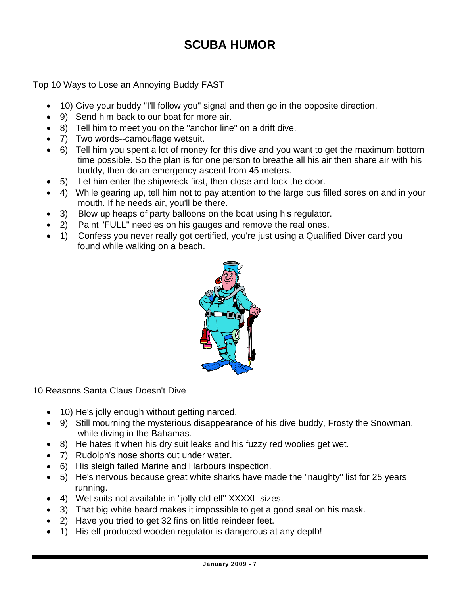# **SCUBA HUMOR**

Top 10 Ways to Lose an Annoying Buddy FAST

- 10) Give your buddy "I'll follow you" signal and then go in the opposite direction.
- 9) Send him back to our boat for more air.
- 8) Tell him to meet you on the "anchor line" on a drift dive.
- 7) Two words--camouflage wetsuit.
- 6) Tell him you spent a lot of money for this dive and you want to get the maximum bottom time possible. So the plan is for one person to breathe all his air then share air with his buddy, then do an emergency ascent from 45 meters.
- 5) Let him enter the shipwreck first, then close and lock the door.
- 4) While gearing up, tell him not to pay attention to the large pus filled sores on and in your mouth. If he needs air, you'll be there.
- 3) Blow up heaps of party balloons on the boat using his regulator.
- 2) Paint "FULL" needles on his gauges and remove the real ones.
- 1) Confess you never really got certified, you're just using a Qualified Diver card you found while walking on a beach.



10 Reasons Santa Claus Doesn't Dive

- 10) He's jolly enough without getting narced.
- 9) Still mourning the mysterious disappearance of his dive buddy, Frosty the Snowman, while diving in the Bahamas.
- 8) He hates it when his dry suit leaks and his fuzzy red woolies get wet.
- 7) Rudolph's nose shorts out under water.
- 6) His sleigh failed Marine and Harbours inspection.
- 5) He's nervous because great white sharks have made the "naughty" list for 25 years running.
- 4) Wet suits not available in "jolly old elf" XXXXL sizes.
- 3) That big white beard makes it impossible to get a good seal on his mask.
- 2) Have you tried to get 32 fins on little reindeer feet.
- 1) His elf-produced wooden regulator is dangerous at any depth!